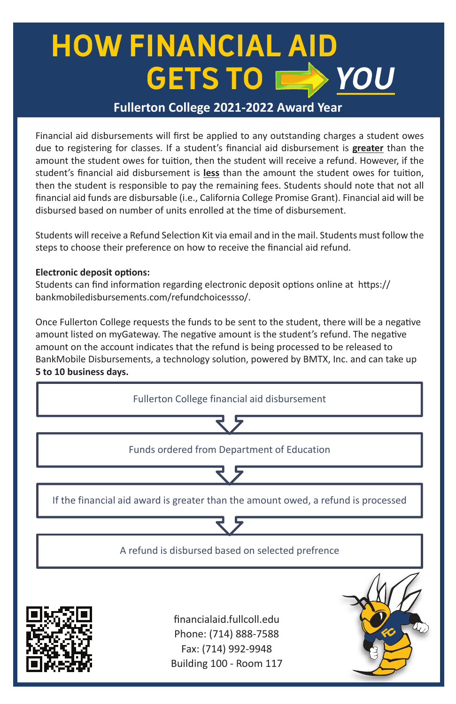# **HOW FINANCIAL AID GETS TO YOU**

### **Fullerton College 2021-2022 Award Year**

Financial aid disbursements will first be applied to any outstanding charges a student owes due to registering for classes. If a student's financial aid disbursement is **greater** than the due to registering for classes. If a student's financial aid disbursement is greater than the<br>amount the student owes for tuition, then the student will receive a refund. However, if the student's financial aid disbursement is less than the amount the student owes for tuition, then the student is responsible to pay the remaining fees. Students should note that not all financial aid funds are disbursable (i.e., California College Promise Grant). Financial aid will be<br>disbursed based on number of units enrolled at the time of disbursement. disbursed based on number of units enrolled at the time of disbursement.

Students will receive a Refund Selection Kit via email and in the mail. Students must follow the statents will be choose their preference on how to receive the financial aid refund.

## **Electronic deposit options:**

Students can find information regarding electronic deposit options online at https:// bankmobiledisbursements.com/refundchoicessso/.

amount on the account indicates that the refund is being processed to be released to Once Fullerton College requests the funds to be sent to the student, there will be a negative amount listed on myGateway. The negative amount is the student's refund. The negative BankMobile Disbursements, a technology solution, powered by BMTX, Inc. and can take up **5 to 10 business days.**  be released to BankMobile Disbursements and can take up **5 to 10 business days.** 



Building 100 - Room 117